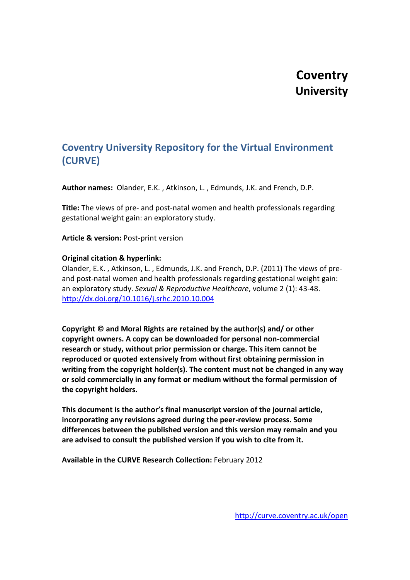# **Coventry University**

## **Coventry University Repository for the Virtual Environment (CURVE)**

**Author names:** Olander, E.K. , Atkinson, L. , Edmunds, J.K. and French, D.P.

**Title:** The views of pre- and post-natal women and health professionals regarding gestational weight gain: an exploratory study.

**Article & version:** Post-print version

## **Original citation & hyperlink:**

Olander, E.K. , Atkinson, L. , Edmunds, J.K. and French, D.P. (2011) The views of preand post-natal women and health professionals regarding gestational weight gain: an exploratory study. *Sexual & Reproductive Healthcare*, volume 2 (1): 43-48. <http://dx.doi.org/10.1016/j.srhc.2010.10.004>

**Copyright © and Moral Rights are retained by the author(s) and/ or other copyright owners. A copy can be downloaded for personal non-commercial research or study, without prior permission or charge. This item cannot be reproduced or quoted extensively from without first obtaining permission in writing from the copyright holder(s). The content must not be changed in any way or sold commercially in any format or medium without the formal permission of the copyright holders.**

**This document is the author's final manuscript version of the journal article, incorporating any revisions agreed during the peer-review process. Some differences between the published version and this version may remain and you are advised to consult the published version if you wish to cite from it.**

**Available in the CURVE Research Collection:** February 2012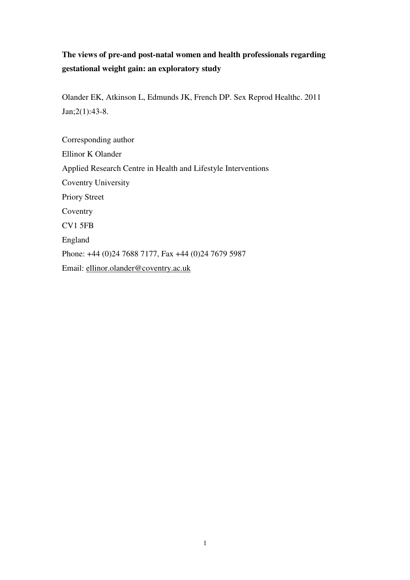## **The views of pre-and post-natal women and health professionals regarding gestational weight gain: an exploratory study**

Olander EK, Atkinson L, Edmunds JK, French DP. Sex Reprod Healthc. 2011 Jan;2(1):43-8.

Corresponding author Ellinor K Olander Applied Research Centre in Health and Lifestyle Interventions Coventry University Priory Street Coventry CV1 5FB England Phone: +44 (0)24 7688 7177, Fax +44 (0)24 7679 5987 Email: ellinor.olander@coventry.ac.uk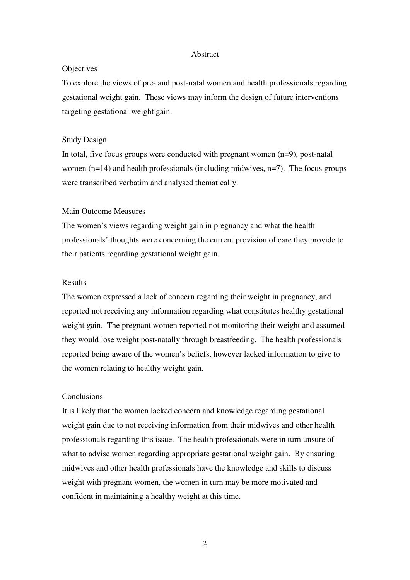#### Abstract

## **Objectives**

To explore the views of pre- and post-natal women and health professionals regarding gestational weight gain. These views may inform the design of future interventions targeting gestational weight gain.

## Study Design

In total, five focus groups were conducted with pregnant women  $(n=9)$ , post-natal women  $(n=14)$  and health professionals (including midwives,  $n=7$ ). The focus groups were transcribed verbatim and analysed thematically.

#### Main Outcome Measures

The women's views regarding weight gain in pregnancy and what the health professionals' thoughts were concerning the current provision of care they provide to their patients regarding gestational weight gain.

## Results

The women expressed a lack of concern regarding their weight in pregnancy, and reported not receiving any information regarding what constitutes healthy gestational weight gain. The pregnant women reported not monitoring their weight and assumed they would lose weight post-natally through breastfeeding. The health professionals reported being aware of the women's beliefs, however lacked information to give to the women relating to healthy weight gain.

### **Conclusions**

It is likely that the women lacked concern and knowledge regarding gestational weight gain due to not receiving information from their midwives and other health professionals regarding this issue. The health professionals were in turn unsure of what to advise women regarding appropriate gestational weight gain. By ensuring midwives and other health professionals have the knowledge and skills to discuss weight with pregnant women, the women in turn may be more motivated and confident in maintaining a healthy weight at this time.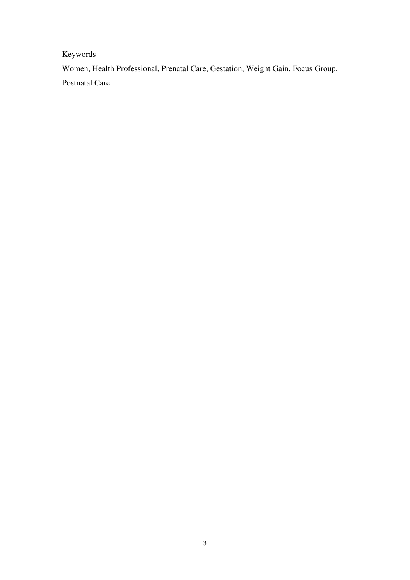Keywords

Women, Health Professional, Prenatal Care, Gestation, Weight Gain, Focus Group, Postnatal Care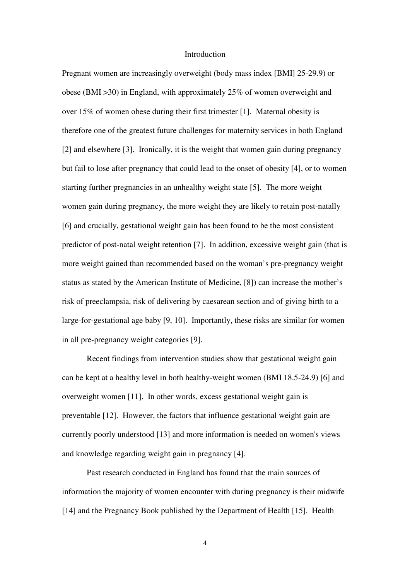#### Introduction

Pregnant women are increasingly overweight (body mass index [BMI] 25-29.9) or obese (BMI >30) in England, with approximately 25% of women overweight and over 15% of women obese during their first trimester [1]. Maternal obesity is therefore one of the greatest future challenges for maternity services in both England [2] and elsewhere [3]. Ironically, it is the weight that women gain during pregnancy but fail to lose after pregnancy that could lead to the onset of obesity [4], or to women starting further pregnancies in an unhealthy weight state [5]. The more weight women gain during pregnancy, the more weight they are likely to retain post-natally [6] and crucially, gestational weight gain has been found to be the most consistent predictor of post-natal weight retention [7]. In addition, excessive weight gain (that is more weight gained than recommended based on the woman's pre-pregnancy weight status as stated by the American Institute of Medicine, [8]) can increase the mother's risk of preeclampsia, risk of delivering by caesarean section and of giving birth to a large-for-gestational age baby [9, 10]. Importantly, these risks are similar for women in all pre-pregnancy weight categories [9].

Recent findings from intervention studies show that gestational weight gain can be kept at a healthy level in both healthy-weight women (BMI 18.5-24.9) [6] and overweight women [11]. In other words, excess gestational weight gain is preventable [12]. However, the factors that influence gestational weight gain are currently poorly understood [13] and more information is needed on women's views and knowledge regarding weight gain in pregnancy [4].

 Past research conducted in England has found that the main sources of information the majority of women encounter with during pregnancy is their midwife [14] and the Pregnancy Book published by the Department of Health [15]. Health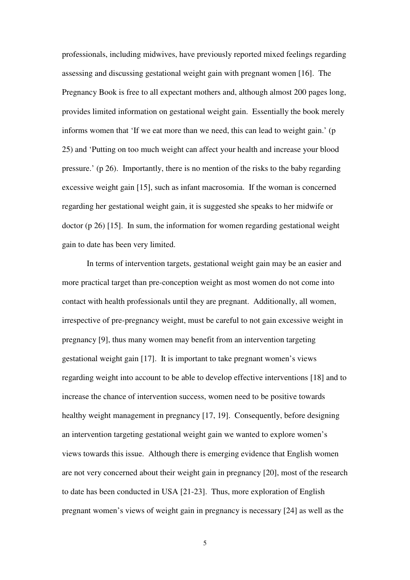professionals, including midwives, have previously reported mixed feelings regarding assessing and discussing gestational weight gain with pregnant women [16]. The Pregnancy Book is free to all expectant mothers and, although almost 200 pages long, provides limited information on gestational weight gain. Essentially the book merely informs women that 'If we eat more than we need, this can lead to weight gain.' (p 25) and 'Putting on too much weight can affect your health and increase your blood pressure.' (p 26). Importantly, there is no mention of the risks to the baby regarding excessive weight gain [15], such as infant macrosomia. If the woman is concerned regarding her gestational weight gain, it is suggested she speaks to her midwife or doctor (p 26) [15]. In sum, the information for women regarding gestational weight gain to date has been very limited.

In terms of intervention targets, gestational weight gain may be an easier and more practical target than pre-conception weight as most women do not come into contact with health professionals until they are pregnant. Additionally, all women, irrespective of pre-pregnancy weight, must be careful to not gain excessive weight in pregnancy [9], thus many women may benefit from an intervention targeting gestational weight gain [17]. It is important to take pregnant women's views regarding weight into account to be able to develop effective interventions [18] and to increase the chance of intervention success, women need to be positive towards healthy weight management in pregnancy [17, 19]. Consequently, before designing an intervention targeting gestational weight gain we wanted to explore women's views towards this issue. Although there is emerging evidence that English women are not very concerned about their weight gain in pregnancy [20], most of the research to date has been conducted in USA [21-23]. Thus, more exploration of English pregnant women's views of weight gain in pregnancy is necessary [24] as well as the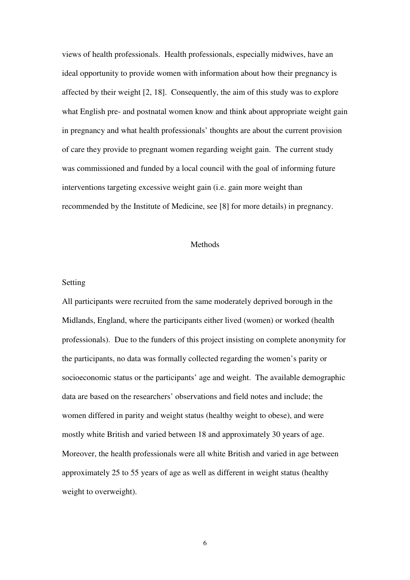views of health professionals. Health professionals, especially midwives, have an ideal opportunity to provide women with information about how their pregnancy is affected by their weight [2, 18]. Consequently, the aim of this study was to explore what English pre- and postnatal women know and think about appropriate weight gain in pregnancy and what health professionals' thoughts are about the current provision of care they provide to pregnant women regarding weight gain. The current study was commissioned and funded by a local council with the goal of informing future interventions targeting excessive weight gain (i.e. gain more weight than recommended by the Institute of Medicine, see [8] for more details) in pregnancy.

## Methods

### Setting

All participants were recruited from the same moderately deprived borough in the Midlands, England, where the participants either lived (women) or worked (health professionals). Due to the funders of this project insisting on complete anonymity for the participants, no data was formally collected regarding the women's parity or socioeconomic status or the participants' age and weight. The available demographic data are based on the researchers' observations and field notes and include; the women differed in parity and weight status (healthy weight to obese), and were mostly white British and varied between 18 and approximately 30 years of age. Moreover, the health professionals were all white British and varied in age between approximately 25 to 55 years of age as well as different in weight status (healthy weight to overweight).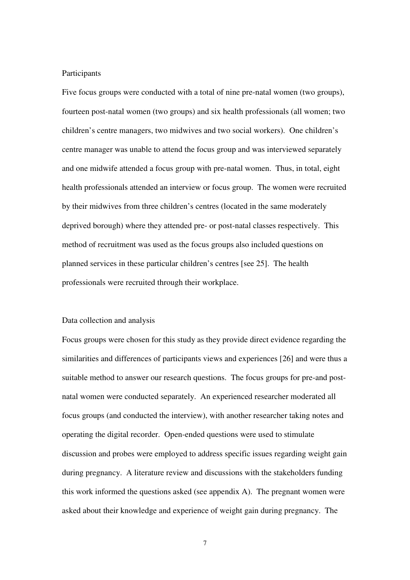## Participants

Five focus groups were conducted with a total of nine pre-natal women (two groups), fourteen post-natal women (two groups) and six health professionals (all women; two children's centre managers, two midwives and two social workers). One children's centre manager was unable to attend the focus group and was interviewed separately and one midwife attended a focus group with pre-natal women. Thus, in total, eight health professionals attended an interview or focus group. The women were recruited by their midwives from three children's centres (located in the same moderately deprived borough) where they attended pre- or post-natal classes respectively. This method of recruitment was used as the focus groups also included questions on planned services in these particular children's centres [see 25]. The health professionals were recruited through their workplace.

#### Data collection and analysis

Focus groups were chosen for this study as they provide direct evidence regarding the similarities and differences of participants views and experiences [26] and were thus a suitable method to answer our research questions. The focus groups for pre-and postnatal women were conducted separately. An experienced researcher moderated all focus groups (and conducted the interview), with another researcher taking notes and operating the digital recorder. Open-ended questions were used to stimulate discussion and probes were employed to address specific issues regarding weight gain during pregnancy. A literature review and discussions with the stakeholders funding this work informed the questions asked (see appendix A). The pregnant women were asked about their knowledge and experience of weight gain during pregnancy. The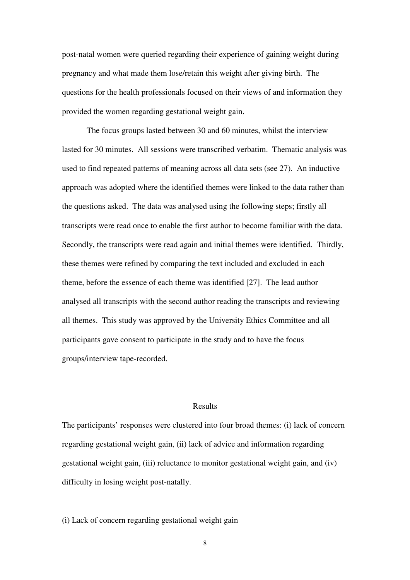post-natal women were queried regarding their experience of gaining weight during pregnancy and what made them lose/retain this weight after giving birth. The questions for the health professionals focused on their views of and information they provided the women regarding gestational weight gain.

The focus groups lasted between 30 and 60 minutes, whilst the interview lasted for 30 minutes. All sessions were transcribed verbatim. Thematic analysis was used to find repeated patterns of meaning across all data sets (see 27). An inductive approach was adopted where the identified themes were linked to the data rather than the questions asked. The data was analysed using the following steps; firstly all transcripts were read once to enable the first author to become familiar with the data. Secondly, the transcripts were read again and initial themes were identified. Thirdly, these themes were refined by comparing the text included and excluded in each theme, before the essence of each theme was identified [27]. The lead author analysed all transcripts with the second author reading the transcripts and reviewing all themes. This study was approved by the University Ethics Committee and all participants gave consent to participate in the study and to have the focus groups/interview tape-recorded.

### Results

The participants' responses were clustered into four broad themes: (i) lack of concern regarding gestational weight gain, (ii) lack of advice and information regarding gestational weight gain, (iii) reluctance to monitor gestational weight gain, and (iv) difficulty in losing weight post-natally.

### (i) Lack of concern regarding gestational weight gain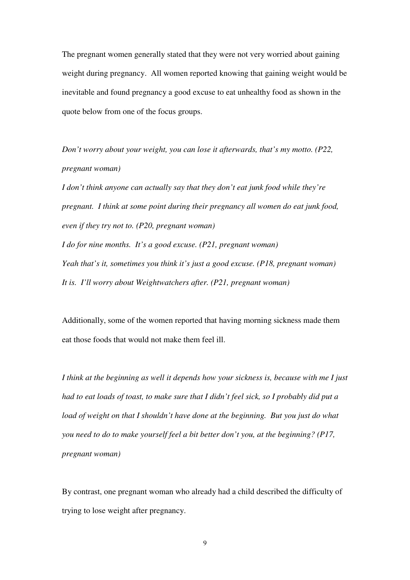The pregnant women generally stated that they were not very worried about gaining weight during pregnancy. All women reported knowing that gaining weight would be inevitable and found pregnancy a good excuse to eat unhealthy food as shown in the quote below from one of the focus groups.

*Don't worry about your weight, you can lose it afterwards, that's my motto. (P22, pregnant woman)* 

*I don't think anyone can actually say that they don't eat junk food while they're pregnant. I think at some point during their pregnancy all women do eat junk food, even if they try not to. (P20, pregnant woman)* 

*I do for nine months. It's a good excuse. (P21, pregnant woman) Yeah that's it, sometimes you think it's just a good excuse. (P18, pregnant woman) It is. I'll worry about Weightwatchers after. (P21, pregnant woman)* 

Additionally, some of the women reported that having morning sickness made them eat those foods that would not make them feel ill.

*I think at the beginning as well it depends how your sickness is, because with me I just had to eat loads of toast, to make sure that I didn't feel sick, so I probably did put a load of weight on that I shouldn't have done at the beginning. But you just do what you need to do to make yourself feel a bit better don't you, at the beginning? (P17, pregnant woman)* 

By contrast, one pregnant woman who already had a child described the difficulty of trying to lose weight after pregnancy.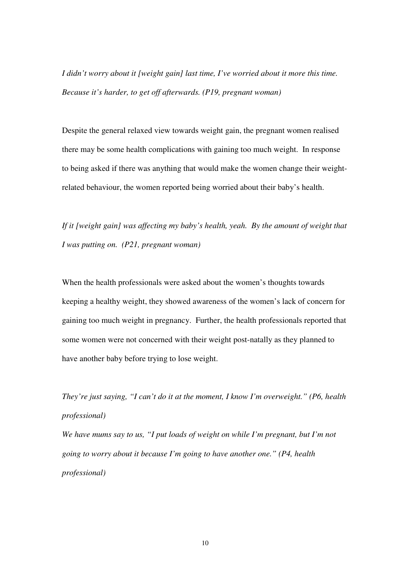*I didn't worry about it [weight gain] last time, I've worried about it more this time. Because it's harder, to get off afterwards. (P19, pregnant woman)* 

Despite the general relaxed view towards weight gain, the pregnant women realised there may be some health complications with gaining too much weight. In response to being asked if there was anything that would make the women change their weightrelated behaviour, the women reported being worried about their baby's health.

*If it [weight gain] was affecting my baby's health, yeah. By the amount of weight that I was putting on. (P21, pregnant woman)* 

When the health professionals were asked about the women's thoughts towards keeping a healthy weight, they showed awareness of the women's lack of concern for gaining too much weight in pregnancy. Further, the health professionals reported that some women were not concerned with their weight post-natally as they planned to have another baby before trying to lose weight.

*They're just saying, "I can't do it at the moment, I know I'm overweight." (P6, health professional)* 

*We have mums say to us, "I put loads of weight on while I'm pregnant, but I'm not going to worry about it because I'm going to have another one." (P4, health professional)*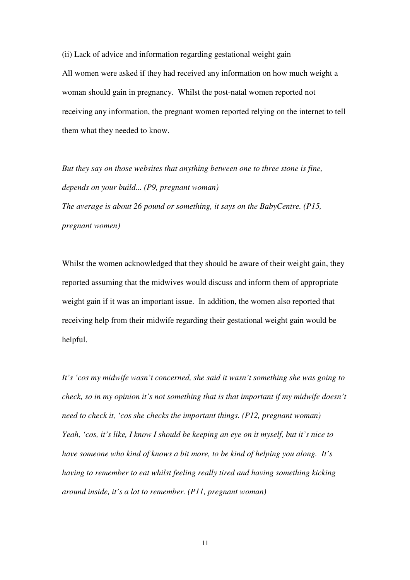(ii) Lack of advice and information regarding gestational weight gain All women were asked if they had received any information on how much weight a woman should gain in pregnancy. Whilst the post-natal women reported not receiving any information, the pregnant women reported relying on the internet to tell them what they needed to know.

*But they say on those websites that anything between one to three stone is fine, depends on your build... (P9, pregnant woman)* 

*The average is about 26 pound or something, it says on the BabyCentre. (P15, pregnant women)* 

Whilst the women acknowledged that they should be aware of their weight gain, they reported assuming that the midwives would discuss and inform them of appropriate weight gain if it was an important issue. In addition, the women also reported that receiving help from their midwife regarding their gestational weight gain would be helpful.

*It's 'cos my midwife wasn't concerned, she said it wasn't something she was going to check, so in my opinion it's not something that is that important if my midwife doesn't need to check it, 'cos she checks the important things. (P12, pregnant woman) Yeah, 'cos, it's like, I know I should be keeping an eye on it myself, but it's nice to have someone who kind of knows a bit more, to be kind of helping you along. It's having to remember to eat whilst feeling really tired and having something kicking around inside, it's a lot to remember. (P11, pregnant woman)*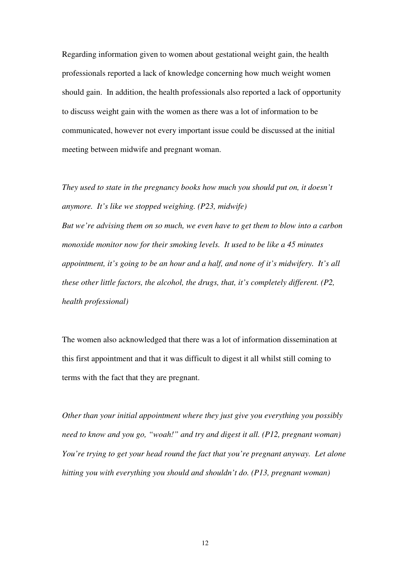Regarding information given to women about gestational weight gain, the health professionals reported a lack of knowledge concerning how much weight women should gain. In addition, the health professionals also reported a lack of opportunity to discuss weight gain with the women as there was a lot of information to be communicated, however not every important issue could be discussed at the initial meeting between midwife and pregnant woman.

*They used to state in the pregnancy books how much you should put on, it doesn't anymore. It's like we stopped weighing. (P23, midwife) But we're advising them on so much, we even have to get them to blow into a carbon monoxide monitor now for their smoking levels. It used to be like a 45 minutes appointment, it's going to be an hour and a half, and none of it's midwifery. It's all these other little factors, the alcohol, the drugs, that, it's completely different. (P2, health professional)* 

The women also acknowledged that there was a lot of information dissemination at this first appointment and that it was difficult to digest it all whilst still coming to terms with the fact that they are pregnant.

*Other than your initial appointment where they just give you everything you possibly need to know and you go, "woah!" and try and digest it all. (P12, pregnant woman) You're trying to get your head round the fact that you're pregnant anyway. Let alone hitting you with everything you should and shouldn't do. (P13, pregnant woman)*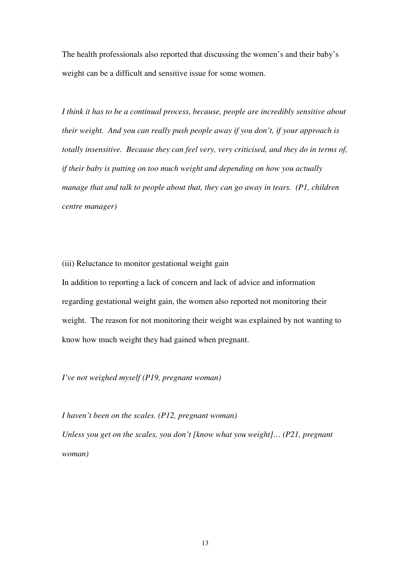The health professionals also reported that discussing the women's and their baby's weight can be a difficult and sensitive issue for some women.

*I think it has to be a continual process, because, people are incredibly sensitive about their weight. And you can really push people away if you don't, if your approach is totally insensitive. Because they can feel very, very criticised, and they do in terms of, if their baby is putting on too much weight and depending on how you actually manage that and talk to people about that, they can go away in tears. (P1, children centre manager)* 

(iii) Reluctance to monitor gestational weight gain

In addition to reporting a lack of concern and lack of advice and information regarding gestational weight gain, the women also reported not monitoring their weight. The reason for not monitoring their weight was explained by not wanting to know how much weight they had gained when pregnant.

*I've not weighed myself (P19, pregnant woman)* 

*I haven't been on the scales. (P12, pregnant woman) Unless you get on the scales, you don't [know what you weight]… (P21, pregnant woman)*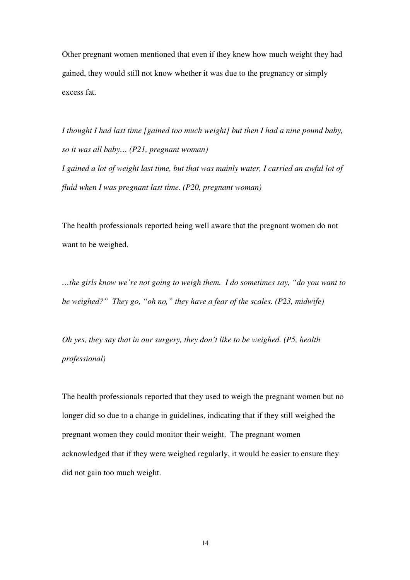Other pregnant women mentioned that even if they knew how much weight they had gained, they would still not know whether it was due to the pregnancy or simply excess fat.

*I thought I had last time [gained too much weight] but then I had a nine pound baby, so it was all baby… (P21, pregnant woman) I gained a lot of weight last time, but that was mainly water, I carried an awful lot of fluid when I was pregnant last time. (P20, pregnant woman)* 

The health professionals reported being well aware that the pregnant women do not want to be weighed.

*…the girls know we're not going to weigh them. I do sometimes say, "do you want to be weighed?" They go, "oh no," they have a fear of the scales. (P23, midwife)* 

*Oh yes, they say that in our surgery, they don't like to be weighed. (P5, health professional)* 

The health professionals reported that they used to weigh the pregnant women but no longer did so due to a change in guidelines, indicating that if they still weighed the pregnant women they could monitor their weight. The pregnant women acknowledged that if they were weighed regularly, it would be easier to ensure they did not gain too much weight.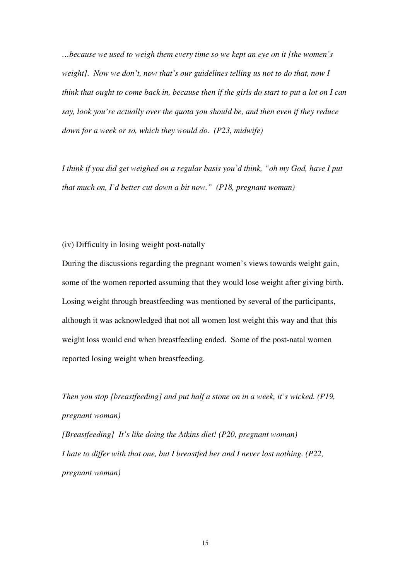*…because we used to weigh them every time so we kept an eye on it [the women's weight]. Now we don't, now that's our guidelines telling us not to do that, now I think that ought to come back in, because then if the girls do start to put a lot on I can say, look you're actually over the quota you should be, and then even if they reduce down for a week or so, which they would do. (P23, midwife)* 

*I think if you did get weighed on a regular basis you'd think, "oh my God, have I put that much on, I'd better cut down a bit now." (P18, pregnant woman)* 

(iv) Difficulty in losing weight post-natally

During the discussions regarding the pregnant women's views towards weight gain, some of the women reported assuming that they would lose weight after giving birth. Losing weight through breastfeeding was mentioned by several of the participants, although it was acknowledged that not all women lost weight this way and that this weight loss would end when breastfeeding ended. Some of the post-natal women reported losing weight when breastfeeding.

*Then you stop [breastfeeding] and put half a stone on in a week, it's wicked. (P19, pregnant woman) [Breastfeeding] It's like doing the Atkins diet! (P20, pregnant woman) I hate to differ with that one, but I breastfed her and I never lost nothing. (P22,* 

*pregnant woman)*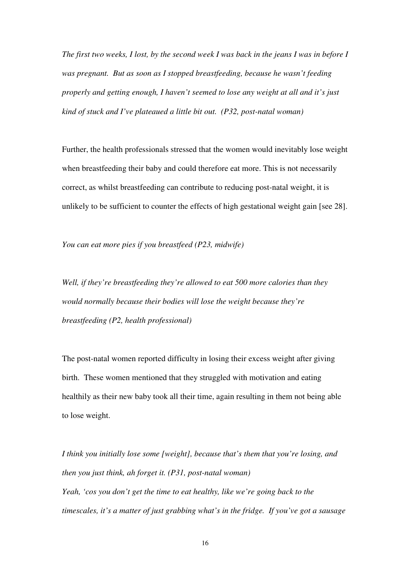*The first two weeks, I lost, by the second week I was back in the jeans I was in before I was pregnant. But as soon as I stopped breastfeeding, because he wasn't feeding properly and getting enough, I haven't seemed to lose any weight at all and it's just kind of stuck and I've plateaued a little bit out. (P32, post-natal woman)* 

Further, the health professionals stressed that the women would inevitably lose weight when breastfeeding their baby and could therefore eat more. This is not necessarily correct, as whilst breastfeeding can contribute to reducing post-natal weight, it is unlikely to be sufficient to counter the effects of high gestational weight gain [see 28].

*You can eat more pies if you breastfeed (P23, midwife)* 

*Well, if they're breastfeeding they're allowed to eat 500 more calories than they would normally because their bodies will lose the weight because they're breastfeeding (P2, health professional)* 

The post-natal women reported difficulty in losing their excess weight after giving birth. These women mentioned that they struggled with motivation and eating healthily as their new baby took all their time, again resulting in them not being able to lose weight.

*I think you initially lose some [weight], because that's them that you're losing, and then you just think, ah forget it. (P31, post-natal woman) Yeah, 'cos you don't get the time to eat healthy, like we're going back to the timescales, it's a matter of just grabbing what's in the fridge. If you've got a sausage*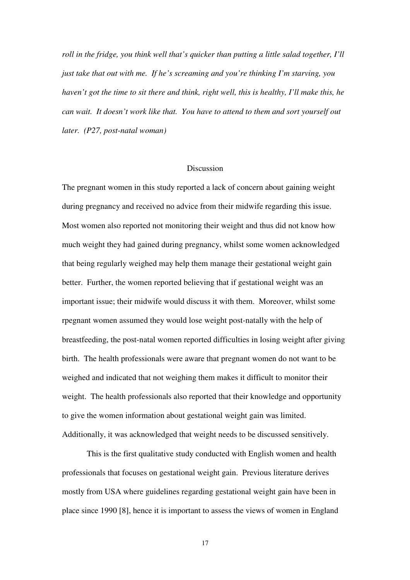*roll in the fridge, you think well that's quicker than putting a little salad together, I'll just take that out with me. If he's screaming and you're thinking I'm starving, you haven't got the time to sit there and think, right well, this is healthy, I'll make this, he can wait. It doesn't work like that. You have to attend to them and sort yourself out later. (P27, post-natal woman)* 

#### **Discussion**

The pregnant women in this study reported a lack of concern about gaining weight during pregnancy and received no advice from their midwife regarding this issue. Most women also reported not monitoring their weight and thus did not know how much weight they had gained during pregnancy, whilst some women acknowledged that being regularly weighed may help them manage their gestational weight gain better. Further, the women reported believing that if gestational weight was an important issue; their midwife would discuss it with them. Moreover, whilst some rpegnant women assumed they would lose weight post-natally with the help of breastfeeding, the post-natal women reported difficulties in losing weight after giving birth. The health professionals were aware that pregnant women do not want to be weighed and indicated that not weighing them makes it difficult to monitor their weight. The health professionals also reported that their knowledge and opportunity to give the women information about gestational weight gain was limited. Additionally, it was acknowledged that weight needs to be discussed sensitively.

This is the first qualitative study conducted with English women and health professionals that focuses on gestational weight gain. Previous literature derives mostly from USA where guidelines regarding gestational weight gain have been in place since 1990 [8], hence it is important to assess the views of women in England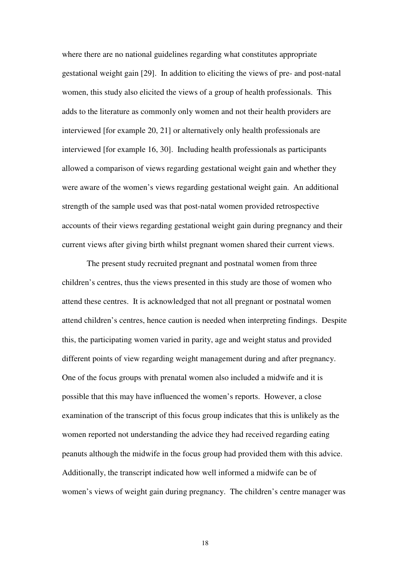where there are no national guidelines regarding what constitutes appropriate gestational weight gain [29]. In addition to eliciting the views of pre- and post-natal women, this study also elicited the views of a group of health professionals. This adds to the literature as commonly only women and not their health providers are interviewed [for example 20, 21] or alternatively only health professionals are interviewed [for example 16, 30]. Including health professionals as participants allowed a comparison of views regarding gestational weight gain and whether they were aware of the women's views regarding gestational weight gain. An additional strength of the sample used was that post-natal women provided retrospective accounts of their views regarding gestational weight gain during pregnancy and their current views after giving birth whilst pregnant women shared their current views.

 The present study recruited pregnant and postnatal women from three children's centres, thus the views presented in this study are those of women who attend these centres. It is acknowledged that not all pregnant or postnatal women attend children's centres, hence caution is needed when interpreting findings. Despite this, the participating women varied in parity, age and weight status and provided different points of view regarding weight management during and after pregnancy. One of the focus groups with prenatal women also included a midwife and it is possible that this may have influenced the women's reports. However, a close examination of the transcript of this focus group indicates that this is unlikely as the women reported not understanding the advice they had received regarding eating peanuts although the midwife in the focus group had provided them with this advice. Additionally, the transcript indicated how well informed a midwife can be of women's views of weight gain during pregnancy. The children's centre manager was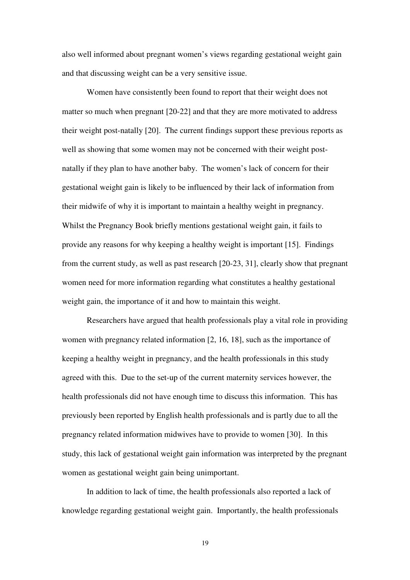also well informed about pregnant women's views regarding gestational weight gain and that discussing weight can be a very sensitive issue.

 Women have consistently been found to report that their weight does not matter so much when pregnant [20-22] and that they are more motivated to address their weight post-natally [20]. The current findings support these previous reports as well as showing that some women may not be concerned with their weight postnatally if they plan to have another baby. The women's lack of concern for their gestational weight gain is likely to be influenced by their lack of information from their midwife of why it is important to maintain a healthy weight in pregnancy. Whilst the Pregnancy Book briefly mentions gestational weight gain, it fails to provide any reasons for why keeping a healthy weight is important [15]. Findings from the current study, as well as past research [20-23, 31], clearly show that pregnant women need for more information regarding what constitutes a healthy gestational weight gain, the importance of it and how to maintain this weight.

 Researchers have argued that health professionals play a vital role in providing women with pregnancy related information [2, 16, 18], such as the importance of keeping a healthy weight in pregnancy, and the health professionals in this study agreed with this. Due to the set-up of the current maternity services however, the health professionals did not have enough time to discuss this information. This has previously been reported by English health professionals and is partly due to all the pregnancy related information midwives have to provide to women [30]. In this study, this lack of gestational weight gain information was interpreted by the pregnant women as gestational weight gain being unimportant.

 In addition to lack of time, the health professionals also reported a lack of knowledge regarding gestational weight gain. Importantly, the health professionals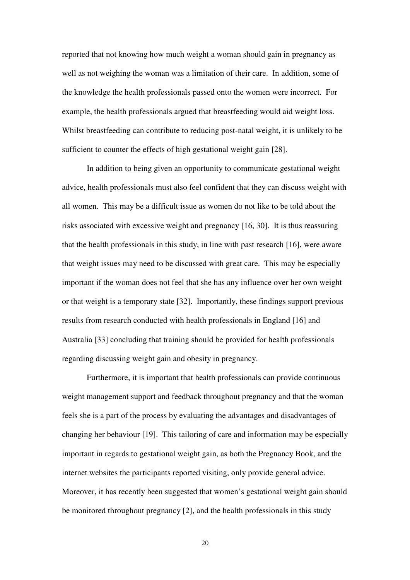reported that not knowing how much weight a woman should gain in pregnancy as well as not weighing the woman was a limitation of their care. In addition, some of the knowledge the health professionals passed onto the women were incorrect. For example, the health professionals argued that breastfeeding would aid weight loss. Whilst breastfeeding can contribute to reducing post-natal weight, it is unlikely to be sufficient to counter the effects of high gestational weight gain [28].

In addition to being given an opportunity to communicate gestational weight advice, health professionals must also feel confident that they can discuss weight with all women. This may be a difficult issue as women do not like to be told about the risks associated with excessive weight and pregnancy [16, 30]. It is thus reassuring that the health professionals in this study, in line with past research [16], were aware that weight issues may need to be discussed with great care. This may be especially important if the woman does not feel that she has any influence over her own weight or that weight is a temporary state [32]. Importantly, these findings support previous results from research conducted with health professionals in England [16] and Australia [33] concluding that training should be provided for health professionals regarding discussing weight gain and obesity in pregnancy.

Furthermore, it is important that health professionals can provide continuous weight management support and feedback throughout pregnancy and that the woman feels she is a part of the process by evaluating the advantages and disadvantages of changing her behaviour [19]. This tailoring of care and information may be especially important in regards to gestational weight gain, as both the Pregnancy Book, and the internet websites the participants reported visiting, only provide general advice. Moreover, it has recently been suggested that women's gestational weight gain should be monitored throughout pregnancy [2], and the health professionals in this study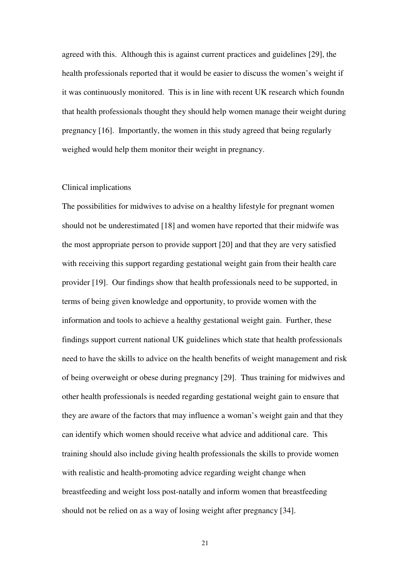agreed with this. Although this is against current practices and guidelines [29], the health professionals reported that it would be easier to discuss the women's weight if it was continuously monitored. This is in line with recent UK research which foundn that health professionals thought they should help women manage their weight during pregnancy [16]. Importantly, the women in this study agreed that being regularly weighed would help them monitor their weight in pregnancy.

#### Clinical implications

The possibilities for midwives to advise on a healthy lifestyle for pregnant women should not be underestimated [18] and women have reported that their midwife was the most appropriate person to provide support [20] and that they are very satisfied with receiving this support regarding gestational weight gain from their health care provider [19]. Our findings show that health professionals need to be supported, in terms of being given knowledge and opportunity, to provide women with the information and tools to achieve a healthy gestational weight gain. Further, these findings support current national UK guidelines which state that health professionals need to have the skills to advice on the health benefits of weight management and risk of being overweight or obese during pregnancy [29]. Thus training for midwives and other health professionals is needed regarding gestational weight gain to ensure that they are aware of the factors that may influence a woman's weight gain and that they can identify which women should receive what advice and additional care. This training should also include giving health professionals the skills to provide women with realistic and health-promoting advice regarding weight change when breastfeeding and weight loss post-natally and inform women that breastfeeding should not be relied on as a way of losing weight after pregnancy [34].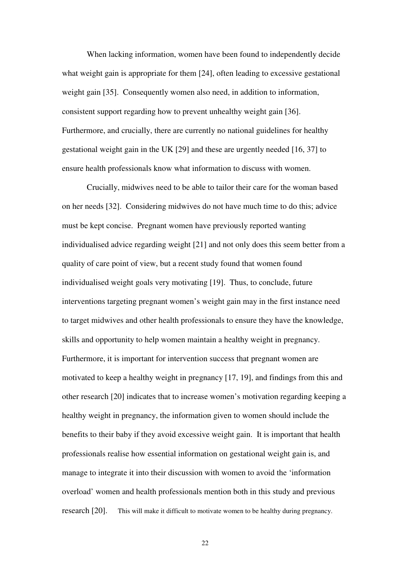When lacking information, women have been found to independently decide what weight gain is appropriate for them [24], often leading to excessive gestational weight gain [35]. Consequently women also need, in addition to information, consistent support regarding how to prevent unhealthy weight gain [36]. Furthermore, and crucially, there are currently no national guidelines for healthy gestational weight gain in the UK [29] and these are urgently needed [16, 37] to ensure health professionals know what information to discuss with women.

Crucially, midwives need to be able to tailor their care for the woman based on her needs [32]. Considering midwives do not have much time to do this; advice must be kept concise. Pregnant women have previously reported wanting individualised advice regarding weight [21] and not only does this seem better from a quality of care point of view, but a recent study found that women found individualised weight goals very motivating [19]. Thus, to conclude, future interventions targeting pregnant women's weight gain may in the first instance need to target midwives and other health professionals to ensure they have the knowledge, skills and opportunity to help women maintain a healthy weight in pregnancy. Furthermore, it is important for intervention success that pregnant women are motivated to keep a healthy weight in pregnancy [17, 19], and findings from this and other research [20] indicates that to increase women's motivation regarding keeping a healthy weight in pregnancy, the information given to women should include the benefits to their baby if they avoid excessive weight gain. It is important that health professionals realise how essential information on gestational weight gain is, and manage to integrate it into their discussion with women to avoid the 'information overload' women and health professionals mention both in this study and previous research [20]. This will make it difficult to motivate women to be healthy during pregnancy.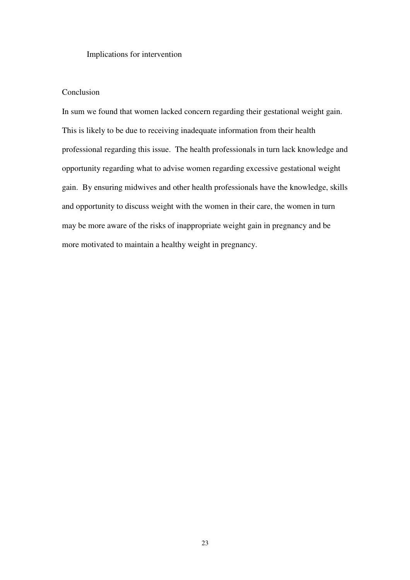Implications for intervention

## Conclusion

In sum we found that women lacked concern regarding their gestational weight gain. This is likely to be due to receiving inadequate information from their health professional regarding this issue. The health professionals in turn lack knowledge and opportunity regarding what to advise women regarding excessive gestational weight gain. By ensuring midwives and other health professionals have the knowledge, skills and opportunity to discuss weight with the women in their care, the women in turn may be more aware of the risks of inappropriate weight gain in pregnancy and be more motivated to maintain a healthy weight in pregnancy.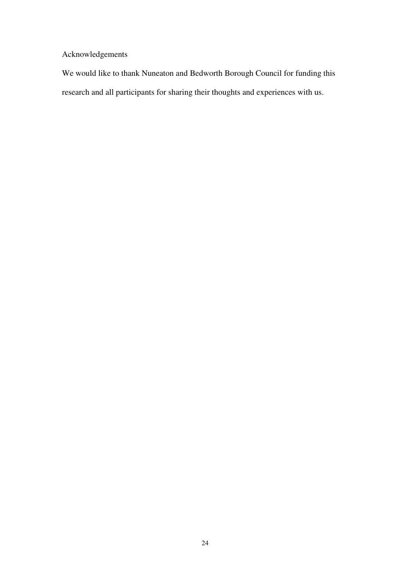Acknowledgements

We would like to thank Nuneaton and Bedworth Borough Council for funding this research and all participants for sharing their thoughts and experiences with us.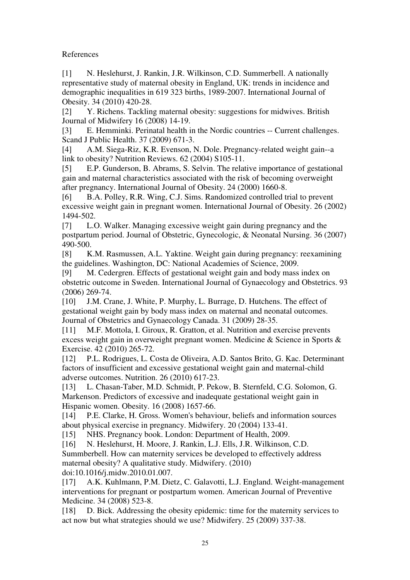References

[1] N. Heslehurst, J. Rankin, J.R. Wilkinson, C.D. Summerbell. A nationally representative study of maternal obesity in England, UK: trends in incidence and demographic inequalities in 619 323 births, 1989-2007. International Journal of Obesity. 34 (2010) 420-28.

[2] Y. Richens. Tackling maternal obesity: suggestions for midwives. British Journal of Midwifery 16 (2008) 14-19.

[3] E. Hemminki. Perinatal health in the Nordic countries -- Current challenges. Scand J Public Health. 37 (2009) 671-3.

[4] A.M. Siega-Riz, K.R. Evenson, N. Dole. Pregnancy-related weight gain--a link to obesity? Nutrition Reviews. 62 (2004) S105-11.

[5] E.P. Gunderson, B. Abrams, S. Selvin. The relative importance of gestational gain and maternal characteristics associated with the risk of becoming overweight after pregnancy. International Journal of Obesity. 24 (2000) 1660-8.

[6] B.A. Polley, R.R. Wing, C.J. Sims. Randomized controlled trial to prevent excessive weight gain in pregnant women. International Journal of Obesity. 26 (2002) 1494-502.

[7] L.O. Walker. Managing excessive weight gain during pregnancy and the postpartum period. Journal of Obstetric, Gynecologic, & Neonatal Nursing. 36 (2007) 490-500.

[8] K.M. Rasmussen, A.L. Yaktine. Weight gain during pregnancy: reexamining the guidelines. Washington, DC: National Academies of Science, 2009.

[9] M. Cedergren. Effects of gestational weight gain and body mass index on obstetric outcome in Sweden. International Journal of Gynaecology and Obstetrics. 93 (2006) 269-74.

[10] J.M. Crane, J. White, P. Murphy, L. Burrage, D. Hutchens. The effect of gestational weight gain by body mass index on maternal and neonatal outcomes. Journal of Obstetrics and Gynaecology Canada. 31 (2009) 28-35.

[11] M.F. Mottola, I. Giroux, R. Gratton, et al. Nutrition and exercise prevents excess weight gain in overweight pregnant women. Medicine & Science in Sports & Exercise. 42 (2010) 265-72.

[12] P.L. Rodrigues, L. Costa de Oliveira, A.D. Santos Brito, G. Kac. Determinant factors of insufficient and excessive gestational weight gain and maternal-child adverse outcomes. Nutrition. 26 (2010) 617-23.

[13] L. Chasan-Taber, M.D. Schmidt, P. Pekow, B. Sternfeld, C.G. Solomon, G. Markenson. Predictors of excessive and inadequate gestational weight gain in Hispanic women. Obesity. 16 (2008) 1657-66.

[14] P.E. Clarke, H. Gross. Women's behaviour, beliefs and information sources about physical exercise in pregnancy. Midwifery. 20 (2004) 133-41.

[15] NHS. Pregnancy book. London: Department of Health, 2009.

[16] N. Heslehurst, H. Moore, J. Rankin, L.J. Ells, J.R. Wilkinson, C.D. Summberbell. How can maternity services be developed to effectively address maternal obesity? A qualitative study. Midwifery. (2010) doi:10.1016/j.midw.2010.01.007.

[17] A.K. Kuhlmann, P.M. Dietz, C. Galavotti, L.J. England. Weight-management interventions for pregnant or postpartum women. American Journal of Preventive Medicine. 34 (2008) 523-8.

[18] D. Bick. Addressing the obesity epidemic: time for the maternity services to act now but what strategies should we use? Midwifery. 25 (2009) 337-38.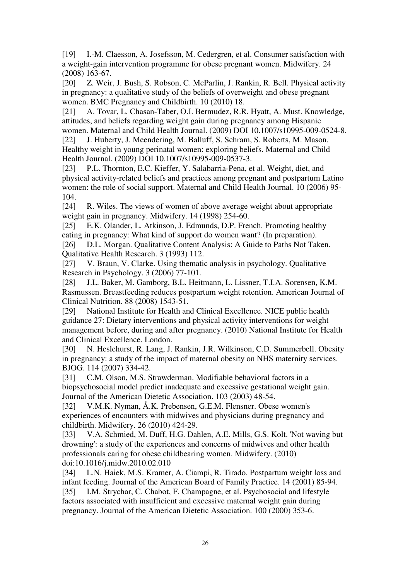[19] I.-M. Claesson, A. Josefsson, M. Cedergren, et al. Consumer satisfaction with a weight-gain intervention programme for obese pregnant women. Midwifery. 24 (2008) 163-67.

[20] Z. Weir, J. Bush, S. Robson, C. McParlin, J. Rankin, R. Bell. Physical activity in pregnancy: a qualitative study of the beliefs of overweight and obese pregnant women. BMC Pregnancy and Childbirth. 10 (2010) 18.

[21] A. Tovar, L. Chasan-Taber, O.I. Bermudez, R.R. Hyatt, A. Must. Knowledge, attitudes, and beliefs regarding weight gain during pregnancy among Hispanic women. Maternal and Child Health Journal. (2009) DOI 10.1007/s10995-009-0524-8.

[22] J. Huberty, J. Meendering, M. Balluff, S. Schram, S. Roberts, M. Mason. Healthy weight in young perinatal women: exploring beliefs. Maternal and Child Health Journal. (2009) DOI 10.1007/s10995-009-0537-3.

[23] P.L. Thornton, E.C. Kieffer, Y. Salabarria-Pena, et al. Weight, diet, and physical activity-related beliefs and practices among pregnant and postpartum Latino women: the role of social support. Maternal and Child Health Journal. 10 (2006) 95- 104.

[24] R. Wiles. The views of women of above average weight about appropriate weight gain in pregnancy. Midwifery. 14 (1998) 254-60.

[25] E.K. Olander, L. Atkinson, J. Edmunds, D.P. French. Promoting healthy eating in pregnancy: What kind of support do women want? (In preparation).

[26] D.L. Morgan. Qualitative Content Analysis: A Guide to Paths Not Taken. Qualitative Health Research. 3 (1993) 112.

[27] V. Braun, V. Clarke. Using thematic analysis in psychology. Qualitative Research in Psychology. 3 (2006) 77-101.

[28] J.L. Baker, M. Gamborg, B.L. Heitmann, L. Lissner, T.I.A. Sorensen, K.M. Rasmussen. Breastfeeding reduces postpartum weight retention. American Journal of Clinical Nutrition. 88 (2008) 1543-51.

[29] National Institute for Health and Clinical Excellence. NICE public health guidance 27: Dietary interventions and physical activity interventions for weight management before, during and after pregnancy. (2010) National Institute for Health and Clinical Excellence. London.

[30] N. Heslehurst, R. Lang, J. Rankin, J.R. Wilkinson, C.D. Summerbell. Obesity in pregnancy: a study of the impact of maternal obesity on NHS maternity services. BJOG. 114 (2007) 334-42.

[31] C.M. Olson, M.S. Strawderman. Modifiable behavioral factors in a biopsychosocial model predict inadequate and excessive gestational weight gain. Journal of the American Dietetic Association. 103 (2003) 48-54.

[32] V.M.K. Nyman, Å.K. Prebensen, G.E.M. Flensner. Obese women's experiences of encounters with midwives and physicians during pregnancy and childbirth. Midwifery. 26 (2010) 424-29.

[33] V.A. Schmied, M. Duff, H.G. Dahlen, A.E. Mills, G.S. Kolt. 'Not waving but drowning': a study of the experiences and concerns of midwives and other health professionals caring for obese childbearing women. Midwifery. (2010) doi:10.1016/j.midw.2010.02.010

[34] L.N. Haiek, M.S. Kramer, A. Ciampi, R. Tirado. Postpartum weight loss and infant feeding. Journal of the American Board of Family Practice. 14 (2001) 85-94. [35] I.M. Strychar, C. Chabot, F. Champagne, et al. Psychosocial and lifestyle factors associated with insufficient and excessive maternal weight gain during pregnancy. Journal of the American Dietetic Association. 100 (2000) 353-6.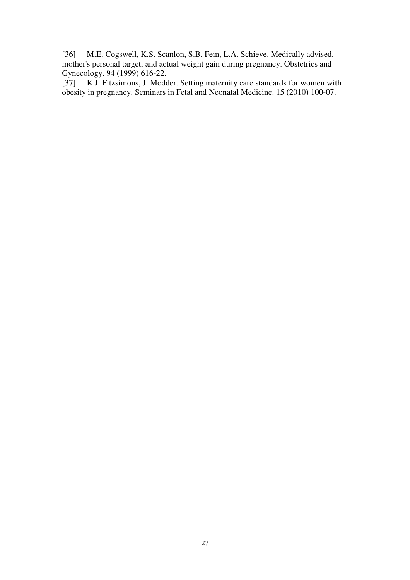[36] M.E. Cogswell, K.S. Scanlon, S.B. Fein, L.A. Schieve. Medically advised, mother's personal target, and actual weight gain during pregnancy. Obstetrics and Gynecology. 94 (1999) 616-22.<br>[37] K.J. Fitzsimons, J. Mode

K.J. Fitzsimons, J. Modder. Setting maternity care standards for women with obesity in pregnancy. Seminars in Fetal and Neonatal Medicine. 15 (2010) 100-07.